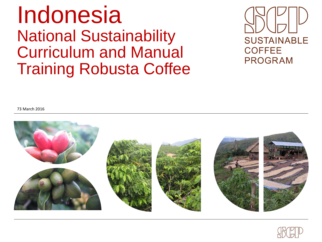## Indonesia National Sustainability Curriculum and Manual Training Robusta Coffee



73 March 2016



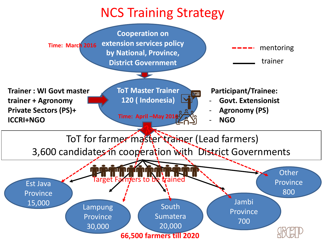## NCS Training Strategy